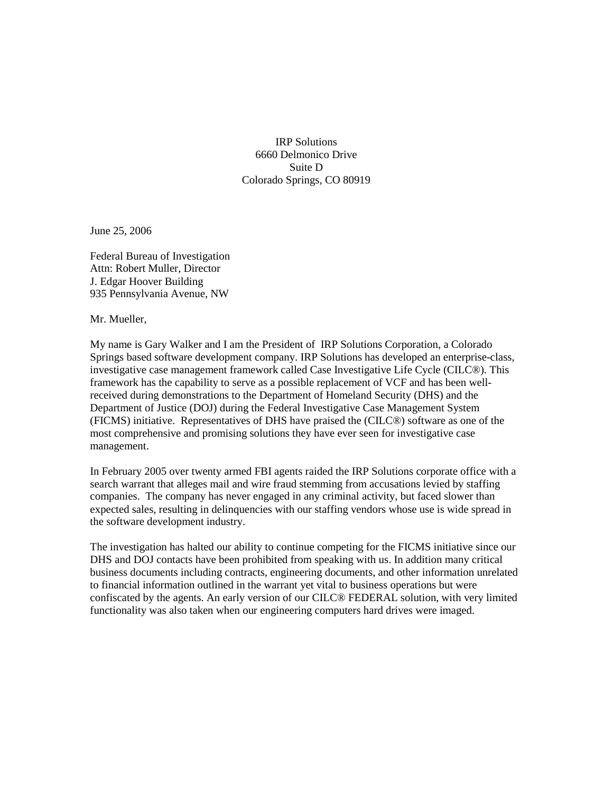IRP Solutions 6660 Delmonico Drive Suite D Colorado Springs, CO 80919

June 25, 2006

Federal Bureau of Investigation Attn: Robert Muller, Director J. Edgar Hoover Building 935 Pennsylvania Avenue, NW

Mr. Mueller,

My name is Gary Walker and I am the President of IRP Solutions Corporation, a Colorado Springs based software development company. IRP Solutions has developed an enterprise-class, investigative case management framework called Case Investigative Life Cycle (CILC®). This framework has the capability to serve as a possible replacement of VCF and has been wellreceived during demonstrations to the Department of Homeland Security (DHS) and the Department of Justice (DOJ) during the Federal Investigative Case Management System (FICMS) initiative. Representatives of DHS have praised the (CILC®) software as one of the most comprehensive and promising solutions they have ever seen for investigative case management.

In February 2005 over twenty armed FBI agents raided the IRP Solutions corporate office with a search warrant that alleges mail and wire fraud stemming from accusations levied by staffing companies. The company has never engaged in any criminal activity, but faced slower than expected sales, resulting in delinquencies with our staffing vendors whose use is wide spread in the software development industry.

The investigation has halted our ability to continue competing for the FICMS initiative since our DHS and DOJ contacts have been prohibited from speaking with us. In addition many critical business documents including contracts, engineering documents, and other information unrelated to financial information outlined in the warrant yet vital to business operations but were confiscated by the agents. An early version of our CILC® FEDERAL solution, with very limited functionality was also taken when our engineering computers hard drives were imaged.